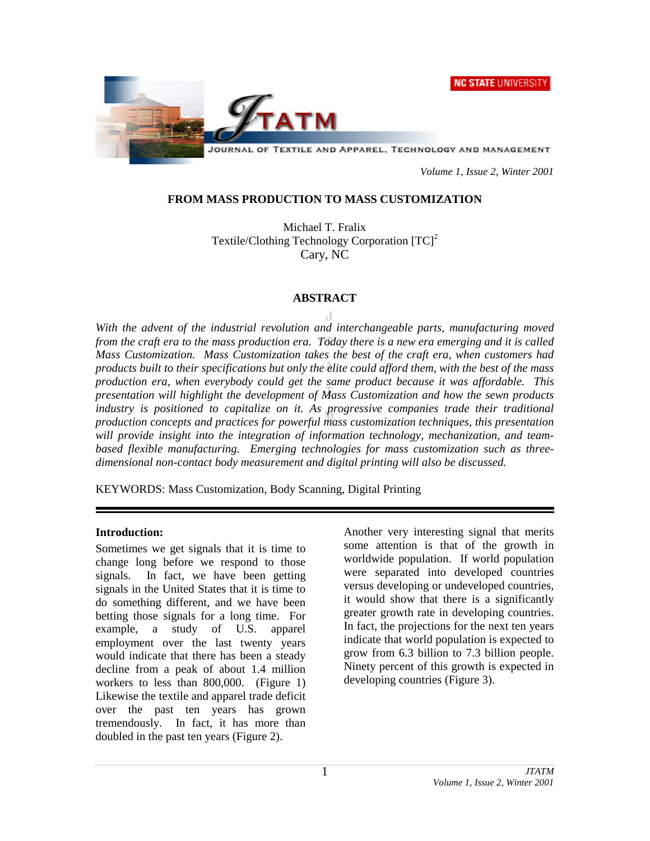**NC STATE UNIVERSITY** 



 *Volume 1, Issue 2, Winter 2001* 

## **FROM MASS PRODUCTION TO MASS CUSTOMIZATION**

Michael T. Fralix Textile/Clothing Technology Corporation  $[TC]^2$ Cary, NC

## **ABSTRACT**

*With the advent of the industrial revolution and interchangeable parts, manufacturing moved from the craft era to the mass production era. Today there is a new era emerging and it is called Mass Customization. Mass Customization takes the best of the craft era, when customers had products built to their specifications but only the elite could afford them, with the best of the mass production era, when everybody could get the same product because it was affordable. This presentation will highlight the development of Mass Customization and how the sewn products industry is positioned to capitalize on it. As progressive companies trade their traditional production concepts and practices for powerful mass customization techniques, this presentation will provide insight into the integration of information technology, mechanization, and teambased flexible manufacturing. Emerging technologies for mass customization such as threedimensional non-contact body measurement and digital printing will also be discussed.* 

KEYWORDS: Mass Customization, Body Scanning, Digital Printing

## **Introduction:**

Sometimes we get signals that it is time to change long before we respond to those signals. In fact, we have been getting signals in the United States that it is time to do something different, and we have been betting those signals for a long time. For example, a study of U.S. apparel employment over the last twenty years would indicate that there has been a steady decline from a peak of about 1.4 million workers to less than 800,000. (Figure 1) Likewise the textile and apparel trade deficit over the past ten years has grown tremendously. In fact, it has more than doubled in the past ten years (Figure 2).

Another very interesting signal that merits some attention is that of the growth in worldwide population. If world population were separated into developed countries versus developing or undeveloped countries, it would show that there is a significantly greater growth rate in developing countries. In fact, the projections for the next ten years indicate that world population is expected to grow from 6.3 billion to 7.3 billion people. Ninety percent of this growth is expected in developing countries (Figure 3).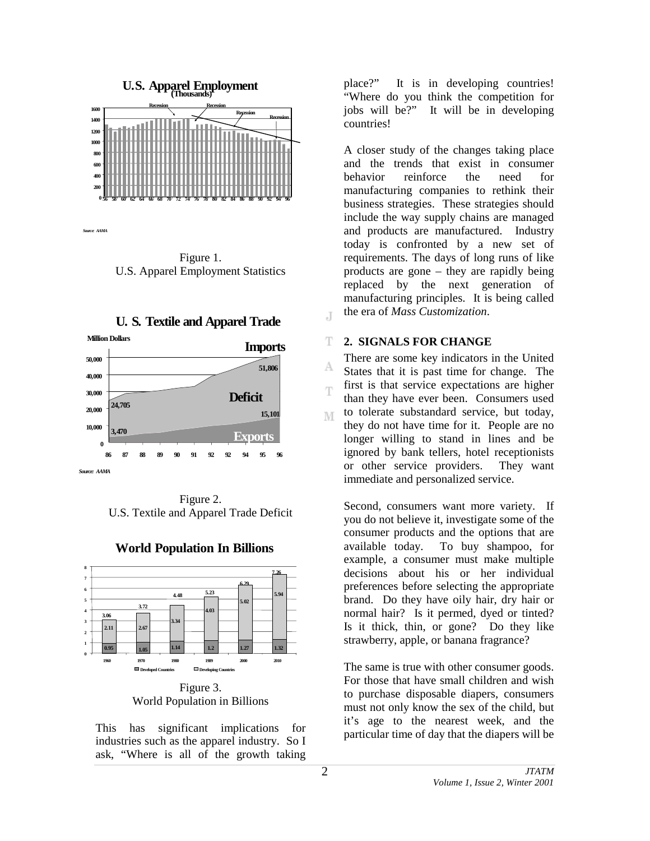

*Source: AAMA*

Figure 1. U.S. Apparel Employment Statistics





Figure 2. U.S. Textile and Apparel Trade Deficit



## **World Population In Billions**

World Population in Billions

This has significant implications for industries such as the apparel industry. So I ask, "Where is all of the growth taking

place?" It is in developing countries! "Where do you think the competition for jobs will be?" It will be in developing countries!

A closer study of the changes taking place and the trends that exist in consumer behavior reinforce the need for manufacturing companies to rethink their business strategies. These strategies should include the way supply chains are managed and products are manufactured. Industry today is confronted by a new set of requirements. The days of long runs of like products are gone – they are rapidly being replaced by the next generation of manufacturing principles. It is being called the era of *Mass Customization*.

#### T. **2. SIGNALS FOR CHANGE**

J

There are some key indicators in the United A States that it is past time for change. The first is that service expectations are higher T than they have ever been. Consumers used to tolerate substandard service, but today, M they do not have time for it. People are no longer willing to stand in lines and be ignored by bank tellers, hotel receptionists or other service providers. They want immediate and personalized service.

Second, consumers want more variety. If you do not believe it, investigate some of the consumer products and the options that are available today. To buy shampoo, for example, a consumer must make multiple decisions about his or her individual preferences before selecting the appropriate brand. Do they have oily hair, dry hair or normal hair? Is it permed, dyed or tinted? Is it thick, thin, or gone? Do they like strawberry, apple, or banana fragrance?

The same is true with other consumer goods. For those that have small children and wish to purchase disposable diapers, consumers must not only know the sex of the child, but it's age to the nearest week, and the particular time of day that the diapers will be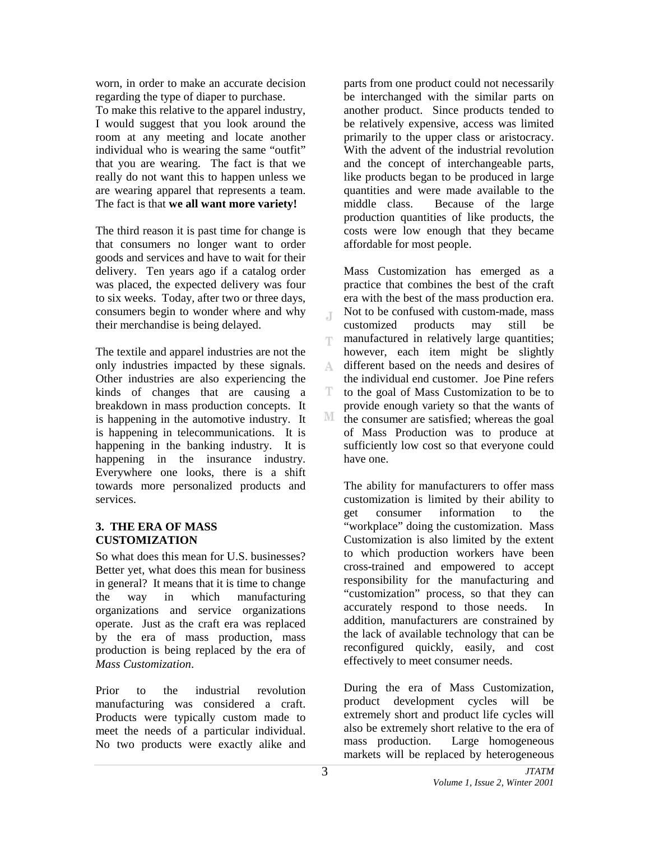worn, in order to make an accurate decision regarding the type of diaper to purchase.

To make this relative to the apparel industry, I would suggest that you look around the room at any meeting and locate another individual who is wearing the same "outfit" that you are wearing. The fact is that we really do not want this to happen unless we are wearing apparel that represents a team. The fact is that **we all want more variety!**

The third reason it is past time for change is that consumers no longer want to order goods and services and have to wait for their delivery. Ten years ago if a catalog order was placed, the expected delivery was four to six weeks. Today, after two or three days, consumers begin to wonder where and why their merchandise is being delayed.

The textile and apparel industries are not the only industries impacted by these signals. Other industries are also experiencing the kinds of changes that are causing a breakdown in mass production concepts. It is happening in the automotive industry. It is happening in telecommunications. It is happening in the banking industry. It is happening in the insurance industry. Everywhere one looks, there is a shift towards more personalized products and services.

# **3. THE ERA OF MASS CUSTOMIZATION**

So what does this mean for U.S. businesses? Better yet, what does this mean for business in general? It means that it is time to change the way in which manufacturing organizations and service organizations operate. Just as the craft era was replaced by the era of mass production, mass production is being replaced by the era of *Mass Customization*.

Prior to the industrial revolution manufacturing was considered a craft. Products were typically custom made to meet the needs of a particular individual. No two products were exactly alike and

parts from one product could not necessarily be interchanged with the similar parts on another product. Since products tended to be relatively expensive, access was limited primarily to the upper class or aristocracy. With the advent of the industrial revolution and the concept of interchangeable parts, like products began to be produced in large quantities and were made available to the middle class. Because of the large production quantities of like products, the costs were low enough that they became affordable for most people.

Mass Customization has emerged as a practice that combines the best of the craft era with the best of the mass production era. Not to be confused with custom-made, mass  $\overline{A}$ customized products may still be manufactured in relatively large quantities; T however, each item might be slightly different based on the needs and desires of A. the individual end customer. Joe Pine refers T. to the goal of Mass Customization to be to provide enough variety so that the wants of М the consumer are satisfied; whereas the goal of Mass Production was to produce at sufficiently low cost so that everyone could have one.

The ability for manufacturers to offer mass customization is limited by their ability to get consumer information to the "workplace" doing the customization. Mass Customization is also limited by the extent to which production workers have been cross-trained and empowered to accept responsibility for the manufacturing and "customization" process, so that they can accurately respond to those needs. In addition, manufacturers are constrained by the lack of available technology that can be reconfigured quickly, easily, and cost effectively to meet consumer needs.

During the era of Mass Customization, product development cycles will be extremely short and product life cycles will also be extremely short relative to the era of mass production. Large homogeneous markets will be replaced by heterogeneous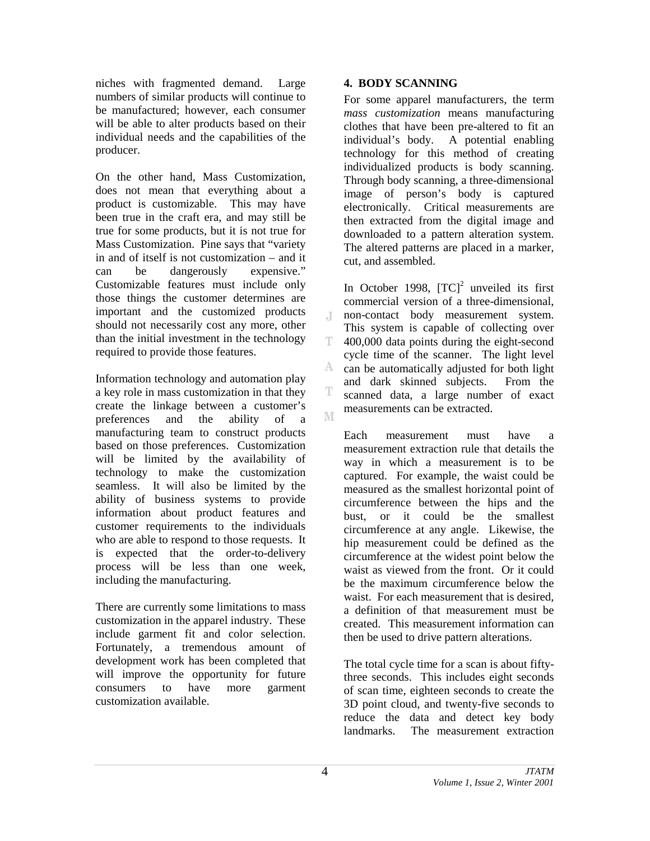niches with fragmented demand. Large numbers of similar products will continue to be manufactured; however, each consumer will be able to alter products based on their individual needs and the capabilities of the producer.

On the other hand, Mass Customization, does not mean that everything about a product is customizable. This may have been true in the craft era, and may still be true for some products, but it is not true for Mass Customization. Pine says that "variety in and of itself is not customization – and it can be dangerously expensive." Customizable features must include only those things the customer determines are important and the customized products should not necessarily cost any more, other than the initial investment in the technology required to provide those features.

Information technology and automation play a key role in mass customization in that they create the linkage between a customer's preferences and the ability of a manufacturing team to construct products based on those preferences. Customization will be limited by the availability of technology to make the customization seamless. It will also be limited by the ability of business systems to provide information about product features and customer requirements to the individuals who are able to respond to those requests. It is expected that the order-to-delivery process will be less than one week, including the manufacturing.

There are currently some limitations to mass customization in the apparel industry. These include garment fit and color selection. Fortunately, a tremendous amount of development work has been completed that will improve the opportunity for future consumers to have more garment customization available.

# **4. BODY SCANNING**

For some apparel manufacturers, the term *mass customization* means manufacturing clothes that have been pre-altered to fit an individual's body. A potential enabling technology for this method of creating individualized products is body scanning. Through body scanning, a three-dimensional image of person's body is captured electronically. Critical measurements are then extracted from the digital image and downloaded to a pattern alteration system. The altered patterns are placed in a marker, cut, and assembled.

In October 1998,  $[TC]^2$  unveiled its first commercial version of a three-dimensional, non-contact body measurement system. J. This system is capable of collecting over T. 400,000 data points during the eight-second cycle time of the scanner. The light level A can be automatically adjusted for both light and dark skinned subjects. From the scanned data, a large number of exact measurements can be extracted. M

Each measurement must have a measurement extraction rule that details the way in which a measurement is to be captured. For example, the waist could be measured as the smallest horizontal point of circumference between the hips and the bust, or it could be the smallest circumference at any angle. Likewise, the hip measurement could be defined as the circumference at the widest point below the waist as viewed from the front. Or it could be the maximum circumference below the waist. For each measurement that is desired, a definition of that measurement must be created. This measurement information can then be used to drive pattern alterations.

The total cycle time for a scan is about fiftythree seconds. This includes eight seconds of scan time, eighteen seconds to create the 3D point cloud, and twenty-five seconds to reduce the data and detect key body landmarks. The measurement extraction

T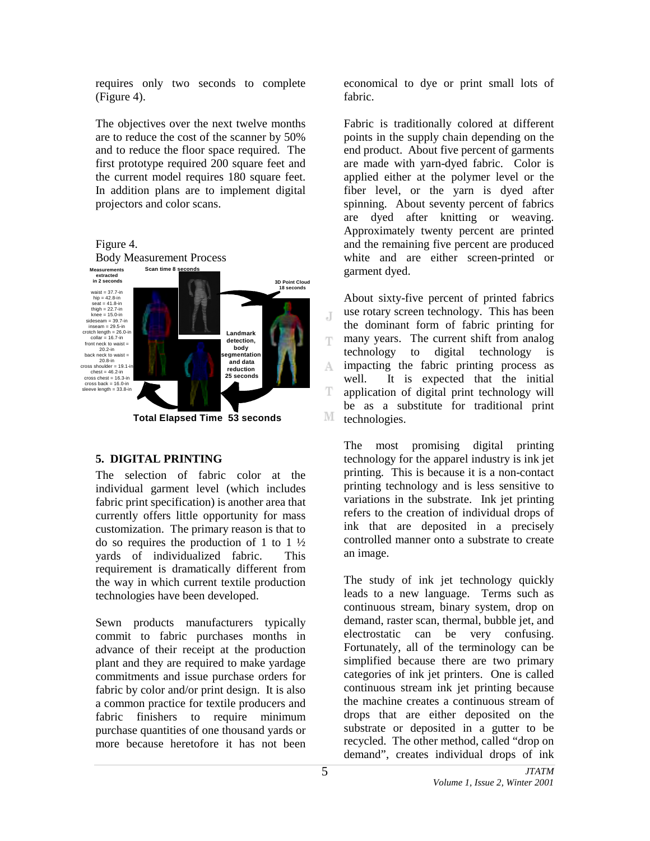requires only two seconds to complete (Figure 4).

The objectives over the next twelve months are to reduce the cost of the scanner by 50% and to reduce the floor space required. The first prototype required 200 square feet and the current model requires 180 square feet. In addition plans are to implement digital projectors and color scans.

Figure 4.



# **5. DIGITAL PRINTING**

The selection of fabric color at the individual garment level (which includes fabric print specification) is another area that currently offers little opportunity for mass customization. The primary reason is that to do so requires the production of 1 to 1  $\frac{1}{2}$ yards of individualized fabric. This requirement is dramatically different from the way in which current textile production technologies have been developed.

Sewn products manufacturers typically commit to fabric purchases months in advance of their receipt at the production plant and they are required to make yardage commitments and issue purchase orders for fabric by color and/or print design. It is also a common practice for textile producers and fabric finishers to require minimum purchase quantities of one thousand yards or more because heretofore it has not been

economical to dye or print small lots of fabric.

Fabric is traditionally colored at different points in the supply chain depending on the end product. About five percent of garments are made with yarn-dyed fabric. Color is applied either at the polymer level or the fiber level, or the yarn is dyed after spinning. About seventy percent of fabrics are dyed after knitting or weaving. Approximately twenty percent are printed and the remaining five percent are produced white and are either screen-printed or garment dyed.

About sixty-five percent of printed fabrics use rotary screen technology. This has been J the dominant form of fabric printing for many years. The current shift from analog T technology to digital technology is impacting the fabric printing process as A well. It is expected that the initial T application of digital print technology will be as a substitute for traditional print M technologies.

The most promising digital printing technology for the apparel industry is ink jet printing. This is because it is a non-contact printing technology and is less sensitive to variations in the substrate. Ink jet printing refers to the creation of individual drops of ink that are deposited in a precisely controlled manner onto a substrate to create an image.

The study of ink jet technology quickly leads to a new language. Terms such as continuous stream, binary system, drop on demand, raster scan, thermal, bubble jet, and electrostatic can be very confusing. Fortunately, all of the terminology can be simplified because there are two primary categories of ink jet printers. One is called continuous stream ink jet printing because the machine creates a continuous stream of drops that are either deposited on the substrate or deposited in a gutter to be recycled. The other method, called "drop on demand", creates individual drops of ink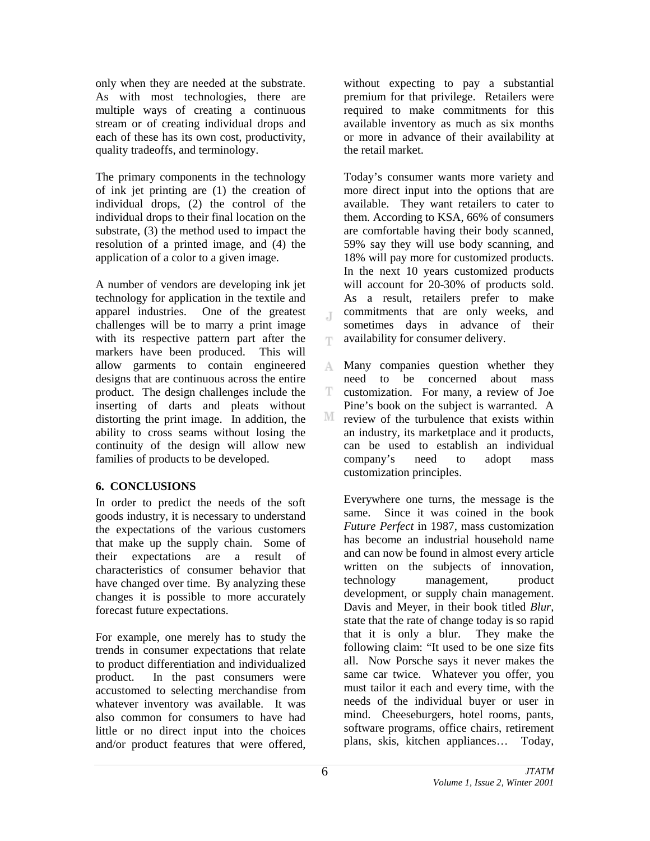only when they are needed at the substrate. As with most technologies, there are multiple ways of creating a continuous stream or of creating individual drops and each of these has its own cost, productivity, quality tradeoffs, and terminology.

The primary components in the technology of ink jet printing are (1) the creation of individual drops, (2) the control of the individual drops to their final location on the substrate, (3) the method used to impact the resolution of a printed image, and (4) the application of a color to a given image.

A number of vendors are developing ink jet technology for application in the textile and apparel industries. One of the greatest challenges will be to marry a print image with its respective pattern part after the markers have been produced. This will allow garments to contain engineered designs that are continuous across the entire product. The design challenges include the inserting of darts and pleats without distorting the print image. In addition, the ability to cross seams without losing the continuity of the design will allow new families of products to be developed.

## **6. CONCLUSIONS**

In order to predict the needs of the soft goods industry, it is necessary to understand the expectations of the various customers that make up the supply chain. Some of their expectations are a result of characteristics of consumer behavior that have changed over time. By analyzing these changes it is possible to more accurately forecast future expectations.

For example, one merely has to study the trends in consumer expectations that relate to product differentiation and individualized product. In the past consumers were accustomed to selecting merchandise from whatever inventory was available. It was also common for consumers to have had little or no direct input into the choices and/or product features that were offered,

without expecting to pay a substantial premium for that privilege. Retailers were required to make commitments for this available inventory as much as six months or more in advance of their availability at the retail market.

Today's consumer wants more variety and more direct input into the options that are available. They want retailers to cater to them. According to KSA, 66% of consumers are comfortable having their body scanned, 59% say they will use body scanning, and 18% will pay more for customized products. In the next 10 years customized products will account for 20-30% of products sold. As a result, retailers prefer to make commitments that are only weeks, and sometimes days in advance of their availability for consumer delivery.

A Many companies question whether they need to be concerned about mass T customization. For many, a review of Joe Pine's book on the subject is warranted. A M. review of the turbulence that exists within an industry, its marketplace and it products, can be used to establish an individual company's need to adopt mass customization principles.

Everywhere one turns, the message is the same. Since it was coined in the book *Future Perfect* in 1987, mass customization has become an industrial household name and can now be found in almost every article written on the subjects of innovation, technology management, product development, or supply chain management. Davis and Meyer, in their book titled *Blur*, state that the rate of change today is so rapid that it is only a blur. They make the following claim: "It used to be one size fits all. Now Porsche says it never makes the same car twice. Whatever you offer, you must tailor it each and every time, with the needs of the individual buyer or user in mind. Cheeseburgers, hotel rooms, pants, software programs, office chairs, retirement plans, skis, kitchen appliances… Today,

 $\overline{A}$ 

T